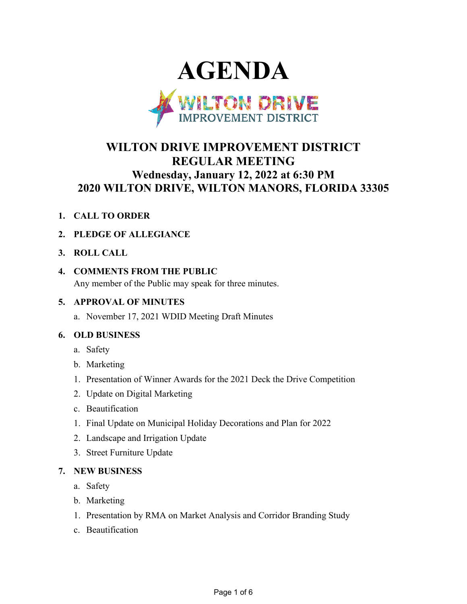

# **WILTON DRIVE IMPROVEMENT DISTRICT REGULAR MEETING Wednesday, January 12, 2022 at 6:30 PM 2020 WILTON DRIVE, WILTON MANORS, FLORIDA 33305**

**1. CALL TO ORDER**

# **2. PLEDGE OF ALLEGIANCE**

**3. ROLL CALL**

# **4. COMMENTS FROM THE PUBLIC**

Any member of the Public may speak for three minutes.

# **5. APPROVAL OF MINUTES**

a. November 17, 2021 WDID Meeting Draft Minutes

# **6. OLD BUSINESS**

- a. Safety
- b. Marketing
- 1. Presentation of Winner Awards for the 2021 Deck the Drive Competition
- 2. Update on Digital Marketing
- c. Beautification
- 1. Final Update on Municipal Holiday Decorations and Plan for 2022
- 2. Landscape and Irrigation Update
- 3. Street Furniture Update

# **7. NEW BUSINESS**

- a. Safety
- b. Marketing
- 1. Presentation by RMA on Market Analysis and Corridor Branding Study
- c. Beautification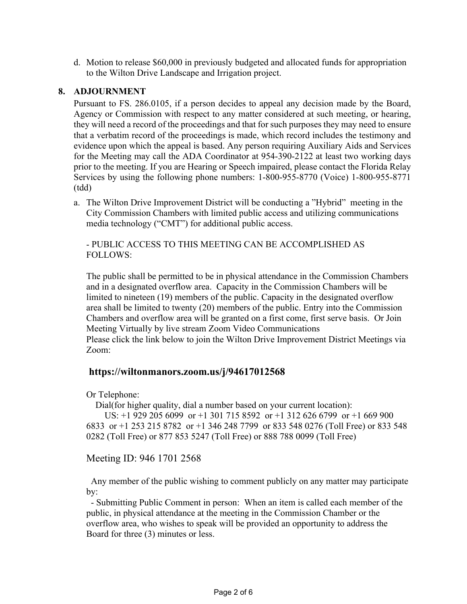d. Motion to release \$60,000 in previously budgeted and allocated funds for appropriation to the Wilton Drive Landscape and Irrigation project.

#### **8. ADJOURNMENT**

Pursuant to FS. 286.0105, if a person decides to appeal any decision made by the Board, Agency or Commission with respect to any matter considered at such meeting, or hearing, they will need a record of the proceedings and that for such purposes they may need to ensure that a verbatim record of the proceedings is made, which record includes the testimony and evidence upon which the appeal is based. Any person requiring Auxiliary Aids and Services for the Meeting may call the ADA Coordinator at 954-390-2122 at least two working days prior to the meeting. If you are Hearing or Speech impaired, please contact the Florida Relay Services by using the following phone numbers: 1-800-955-8770 (Voice) 1-800-955-8771 (tdd)

a. The Wilton Drive Improvement District will be conducting a "Hybrid" meeting in the City Commission Chambers with limited public access and utilizing communications media technology ("CMT") for additional public access.

- PUBLIC ACCESS TO THIS MEETING CAN BE ACCOMPLISHED AS FOLLOWS:

The public shall be permitted to be in physical attendance in the Commission Chambers and in a designated overflow area. Capacity in the Commission Chambers will be limited to nineteen (19) members of the public. Capacity in the designated overflow area shall be limited to twenty (20) members of the public. Entry into the Commission Chambers and overflow area will be granted on a first come, first serve basis. Or Join Meeting Virtually by live stream Zoom Video Communications Please click the link below to join the Wilton Drive Improvement District Meetings via Zoom:

# **https://wiltonmanors.zoom.us/j/94617012568**

Or Telephone:

Dial(for higher quality, dial a number based on your current location):

 US: +1 929 205 6099 or +1 301 715 8592 or +1 312 626 6799 or +1 669 900 6833 or +1 253 215 8782 or +1 346 248 7799 or 833 548 0276 (Toll Free) or 833 548 0282 (Toll Free) or 877 853 5247 (Toll Free) or 888 788 0099 (Toll Free)

Meeting ID: 946 1701 2568

 Any member of the public wishing to comment publicly on any matter may participate by:

 - Submitting Public Comment in person: When an item is called each member of the public, in physical attendance at the meeting in the Commission Chamber or the overflow area, who wishes to speak will be provided an opportunity to address the Board for three (3) minutes or less.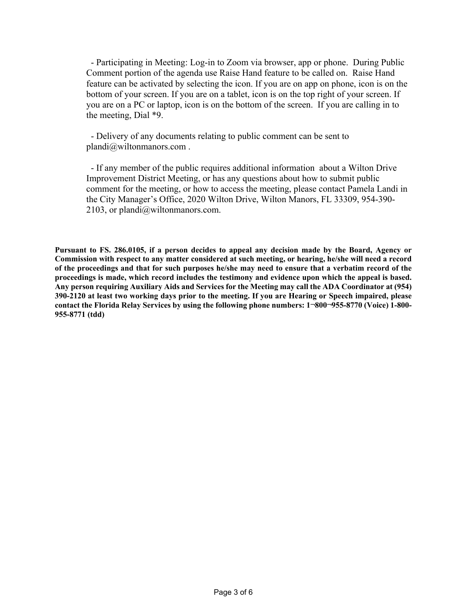- Participating in Meeting: Log-in to Zoom via browser, app or phone. During Public Comment portion of the agenda use Raise Hand feature to be called on. Raise Hand feature can be activated by selecting the icon. If you are on app on phone, icon is on the bottom of your screen. If you are on a tablet, icon is on the top right of your screen. If you are on a PC or laptop, icon is on the bottom of the screen. If you are calling in to the meeting, Dial \*9.

 - Delivery of any documents relating to public comment can be sent to plandi@wiltonmanors.com .

 - If any member of the public requires additional information about a Wilton Drive Improvement District Meeting, or has any questions about how to submit public comment for the meeting, or how to access the meeting, please contact Pamela Landi in the City Manager's Office, 2020 Wilton Drive, Wilton Manors, FL 33309, 954-390- 2103, or plandi@wiltonmanors.com.

**Pursuant to FS. 286.0105, if a person decides to appeal any decision made by the Board, Agency or Commission with respect to any matter considered at such meeting, or hearing, he/she will need a record of the proceedings and that for such purposes he/she may need to ensure that a verbatim record of the proceedings is made, which record includes the testimony and evidence upon which the appeal is based. Any person requiring Auxiliary Aids and Services for the Meeting may call the ADA Coordinator at (954) 390-2120 at least two working days prior to the meeting. If you are Hearing or Speech impaired, please contact the Florida Relay Services by using the following phone numbers: 1¬800¬955-8770 (Voice) 1-800- 955-8771 (tdd)**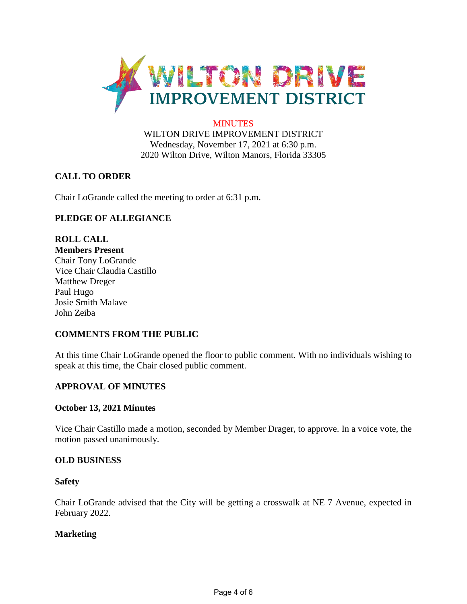

#### **MINUTES**

WILTON DRIVE IMPROVEMENT DISTRICT Wednesday, November 17, 2021 at 6:30 p.m. 2020 Wilton Drive, Wilton Manors, Florida 33305

# **CALL TO ORDER**

Chair LoGrande called the meeting to order at 6:31 p.m.

# **PLEDGE OF ALLEGIANCE**

**ROLL CALL Members Present** Chair Tony LoGrande Vice Chair Claudia Castillo Matthew Dreger Paul Hugo Josie Smith Malave John Zeiba

# **COMMENTS FROM THE PUBLIC**

At this time Chair LoGrande opened the floor to public comment. With no individuals wishing to speak at this time, the Chair closed public comment.

# **APPROVAL OF MINUTES**

#### **October 13, 2021 Minutes**

Vice Chair Castillo made a motion, seconded by Member Drager, to approve. In a voice vote, the motion passed unanimously.

#### **OLD BUSINESS**

#### **Safety**

Chair LoGrande advised that the City will be getting a crosswalk at NE 7 Avenue, expected in February 2022.

#### **Marketing**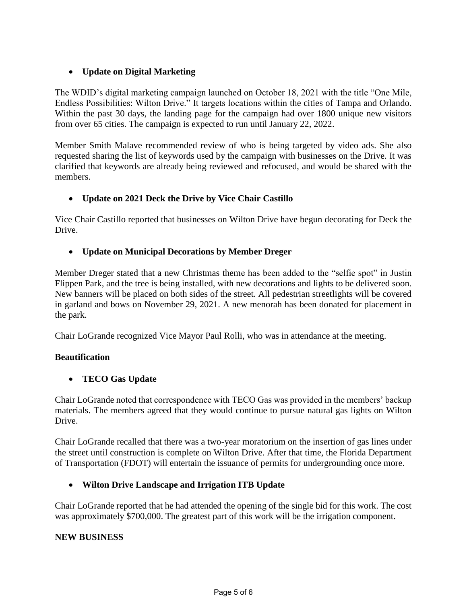# • **Update on Digital Marketing**

The WDID's digital marketing campaign launched on October 18, 2021 with the title "One Mile, Endless Possibilities: Wilton Drive." It targets locations within the cities of Tampa and Orlando. Within the past 30 days, the landing page for the campaign had over 1800 unique new visitors from over 65 cities. The campaign is expected to run until January 22, 2022.

Member Smith Malave recommended review of who is being targeted by video ads. She also requested sharing the list of keywords used by the campaign with businesses on the Drive. It was clarified that keywords are already being reviewed and refocused, and would be shared with the members.

# • **Update on 2021 Deck the Drive by Vice Chair Castillo**

Vice Chair Castillo reported that businesses on Wilton Drive have begun decorating for Deck the Drive.

# • **Update on Municipal Decorations by Member Dreger**

Member Dreger stated that a new Christmas theme has been added to the "selfie spot" in Justin Flippen Park, and the tree is being installed, with new decorations and lights to be delivered soon. New banners will be placed on both sides of the street. All pedestrian streetlights will be covered in garland and bows on November 29, 2021. A new menorah has been donated for placement in the park.

Chair LoGrande recognized Vice Mayor Paul Rolli, who was in attendance at the meeting.

# **Beautification**

# • **TECO Gas Update**

Chair LoGrande noted that correspondence with TECO Gas was provided in the members' backup materials. The members agreed that they would continue to pursue natural gas lights on Wilton Drive.

Chair LoGrande recalled that there was a two-year moratorium on the insertion of gas lines under the street until construction is complete on Wilton Drive. After that time, the Florida Department of Transportation (FDOT) will entertain the issuance of permits for undergrounding once more.

# • **Wilton Drive Landscape and Irrigation ITB Update**

Chair LoGrande reported that he had attended the opening of the single bid for this work. The cost was approximately \$700,000. The greatest part of this work will be the irrigation component.

# **NEW BUSINESS**